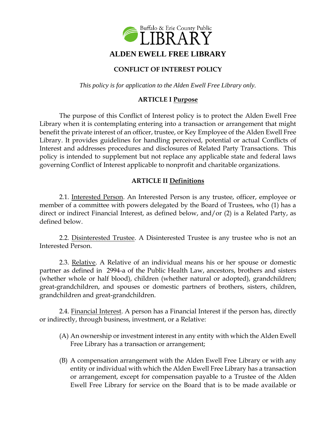

### **CONFLICT OF INTEREST POLICY**

*This policy is for application to the Alden Ewell Free Library only.*

### **ARTICLE I Purpose**

The purpose of this Conflict of Interest policy is to protect the Alden Ewell Free Library when it is contemplating entering into a transaction or arrangement that might benefit the private interest of an officer, trustee, or Key Employee of the Alden Ewell Free Library. It provides guidelines for handling perceived, potential or actual Conflicts of Interest and addresses procedures and disclosures of Related Party Transactions. This policy is intended to supplement but not replace any applicable state and federal laws governing Conflict of Interest applicable to nonprofit and charitable organizations.

### **ARTICLE II Definitions**

2.1. Interested Person. An Interested Person is any trustee, officer, employee or member of a committee with powers delegated by the Board of Trustees, who (1) has a direct or indirect Financial Interest, as defined below, and/or (2) is a Related Party, as defined below.

2.2. Disinterested Trustee. A Disinterested Trustee is any trustee who is not an Interested Person.

2.3. Relative. A Relative of an individual means his or her spouse or domestic partner as defined in 2994-a of the Public Health Law, ancestors, brothers and sisters (whether whole or half blood), children (whether natural or adopted), grandchildren; great-grandchildren, and spouses or domestic partners of brothers, sisters, children, grandchildren and great-grandchildren.

2.4. Financial Interest. A person has a Financial Interest if the person has, directly or indirectly, through business, investment, or a Relative:

- (A) An ownership or investment interest in any entity with which the Alden Ewell Free Library has a transaction or arrangement;
- (B) A compensation arrangement with the Alden Ewell Free Library or with any entity or individual with which the Alden Ewell Free Library has a transaction or arrangement, except for compensation payable to a Trustee of the Alden Ewell Free Library for service on the Board that is to be made available or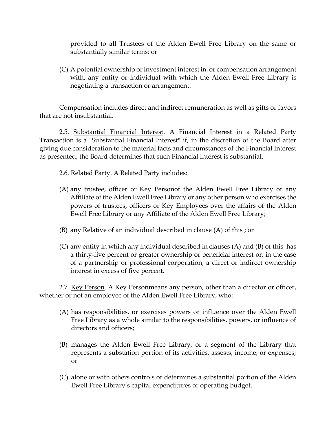provided to all Trustees of the Alden Ewell Free Library on the same or substantially similar terms; or

(C) A potential ownership or investment interest in, or compensation arrangement with, any entity or individual with which the Alden Ewell Free Library is negotiating a transaction or arrangement.

Compensation includes direct and indirect remuneration as well as gifts or favors that are not insubstantial.

2.5. Substantial Financial Interest. A Financial Interest in a Related Party Transaction is a "Substantial Financial Interest" if, in the discretion of the Board after giving due consideration to the material facts and circumstances of the Financial Interest as presented, the Board determines that such Financial Interest is substantial.

2.6. Related Party. A Related Party includes:

- (A) any trustee, officer or Key Personof the Alden Ewell Free Library or any Affiliate of the Alden Ewell Free Library or any other person who exercises the powers of trustees, officers or Key Employees over the affairs of the Alden Ewell Free Library or any Affiliate of the Alden Ewell Free Library;
- (B) any Relative of an individual described in clause (A) of this ; or
- (C) any entity in which any individual described in clauses (A) and (B) of this has a thirty-five percent or greater ownership or beneficial interest or, in the case of a partnership or professional corporation, a direct or indirect ownership interest in excess of five percent.

2.7. Key Person. A Key Personmeans any person, other than a director or officer, whether or not an employee of the Alden Ewell Free Library, who:

- (A) has responsibilities, or exercises powers or influence over the Alden Ewell Free Library as a whole similar to the responsibilities, powers, or influence of directors and officers;
- (B) manages the Alden Ewell Free Library, or a segment of the Library that represents a substation portion of its activities, assests, income, or expenses; or
- (C) alone or with others controls or determines a substantial portion of the Alden Ewell Free Library's capital expenditures or operating budget.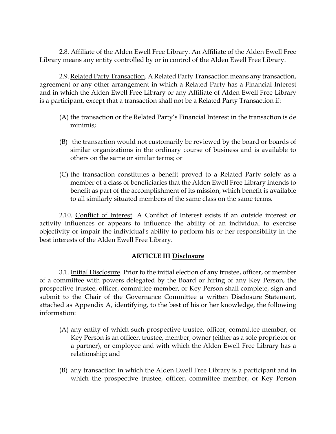2.8. Affiliate of the Alden Ewell Free Library. An Affiliate of the Alden Ewell Free Library means any entity controlled by or in control of the Alden Ewell Free Library.

2.9. Related Party Transaction. A Related Party Transaction means any transaction, agreement or any other arrangement in which a Related Party has a Financial Interest and in which the Alden Ewell Free Library or any Affiliate of Alden Ewell Free Library is a participant, except that a transaction shall not be a Related Party Transaction if:

- (A) the transaction or the Related Party's Financial Interest in the transaction is de minimis;
- (B) the transaction would not customarily be reviewed by the board or boards of similar organizations in the ordinary course of business and is available to others on the same or similar terms; or
- (C) the transaction constitutes a benefit proved to a Related Party solely as a member of a class of beneficiaries that the Alden Ewell Free Library intends to benefit as part of the accomplishment of its mission, which benefit is available to all similarly situated members of the same class on the same terms.

2.10. Conflict of Interest. A Conflict of Interest exists if an outside interest or activity influences or appears to influence the ability of an individual to exercise objectivity or impair the individual's ability to perform his or her responsibility in the best interests of the Alden Ewell Free Library.

### **ARTICLE III Disclosure**

3.1. Initial Disclosure. Prior to the initial election of any trustee, officer, or member of a committee with powers delegated by the Board or hiring of any Key Person, the prospective trustee, officer, committee member, or Key Person shall complete, sign and submit to the Chair of the Governance Committee a written Disclosure Statement, attached as Appendix A, identifying, to the best of his or her knowledge, the following information:

- (A) any entity of which such prospective trustee, officer, committee member, or Key Person is an officer, trustee, member, owner (either as a sole proprietor or a partner), or employee and with which the Alden Ewell Free Library has a relationship; and
- (B) any transaction in which the Alden Ewell Free Library is a participant and in which the prospective trustee, officer, committee member, or Key Person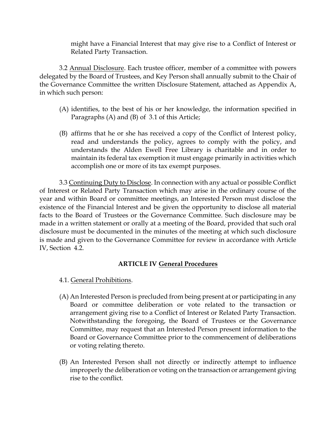might have a Financial Interest that may give rise to a Conflict of Interest or Related Party Transaction.

3.2 Annual Disclosure. Each trustee officer, member of a committee with powers delegated by the Board of Trustees, and Key Person shall annually submit to the Chair of the Governance Committee the written Disclosure Statement, attached as Appendix A, in which such person:

- (A) identifies, to the best of his or her knowledge, the information specified in Paragraphs (A) and (B) of 3.1 of this Article;
- (B) affirms that he or she has received a copy of the Conflict of Interest policy, read and understands the policy, agrees to comply with the policy, and understands the Alden Ewell Free Library is charitable and in order to maintain its federal tax exemption it must engage primarily in activities which accomplish one or more of its tax exempt purposes.

3.3 Continuing Duty to Disclose. In connection with any actual or possible Conflict of Interest or Related Party Transaction which may arise in the ordinary course of the year and within Board or committee meetings, an Interested Person must disclose the existence of the Financial Interest and be given the opportunity to disclose all material facts to the Board of Trustees or the Governance Committee. Such disclosure may be made in a written statement or orally at a meeting of the Board, provided that such oral disclosure must be documented in the minutes of the meeting at which such disclosure is made and given to the Governance Committee for review in accordance with Article IV, Section 4.2.

## **ARTICLE IV General Procedures**

- 4.1. General Prohibitions.
- (A) An Interested Person is precluded from being present at or participating in any Board or committee deliberation or vote related to the transaction or arrangement giving rise to a Conflict of Interest or Related Party Transaction. Notwithstanding the foregoing, the Board of Trustees or the Governance Committee, may request that an Interested Person present information to the Board or Governance Committee prior to the commencement of deliberations or voting relating thereto.
- (B) An Interested Person shall not directly or indirectly attempt to influence improperly the deliberation or voting on the transaction or arrangement giving rise to the conflict.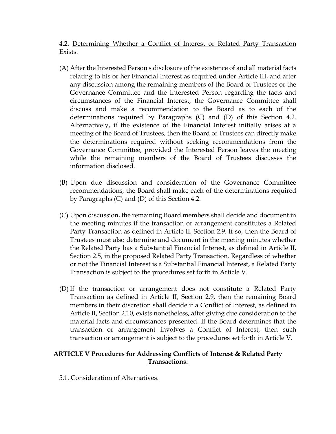4.2. Determining Whether a Conflict of Interest or Related Party Transaction Exists.

- (A) After the Interested Person's disclosure of the existence of and all material facts relating to his or her Financial Interest as required under Article III, and after any discussion among the remaining members of the Board of Trustees or the Governance Committee and the Interested Person regarding the facts and circumstances of the Financial Interest, the Governance Committee shall discuss and make a recommendation to the Board as to each of the determinations required by Paragraphs (C) and (D) of this Section 4.2. Alternatively, if the existence of the Financial Interest initially arises at a meeting of the Board of Trustees, then the Board of Trustees can directly make the determinations required without seeking recommendations from the Governance Committee, provided the Interested Person leaves the meeting while the remaining members of the Board of Trustees discusses the information disclosed.
- (B) Upon due discussion and consideration of the Governance Committee recommendations, the Board shall make each of the determinations required by Paragraphs (C) and (D) of this Section 4.2.
- (C) Upon discussion, the remaining Board members shall decide and document in the meeting minutes if the transaction or arrangement constitutes a Related Party Transaction as defined in Article II, Section 2.9. If so, then the Board of Trustees must also determine and document in the meeting minutes whether the Related Party has a Substantial Financial Interest, as defined in Article II, Section 2.5, in the proposed Related Party Transaction. Regardless of whether or not the Financial Interest is a Substantial Financial Interest, a Related Party Transaction is subject to the procedures set forth in Article V.
- (D) If the transaction or arrangement does not constitute a Related Party Transaction as defined in Article II, Section 2.9, then the remaining Board members in their discretion shall decide if a Conflict of Interest, as defined in Article II, Section 2.10, exists nonetheless, after giving due consideration to the material facts and circumstances presented. If the Board determines that the transaction or arrangement involves a Conflict of Interest, then such transaction or arrangement is subject to the procedures set forth in Article V.

# **ARTICLE V Procedures for Addressing Conflicts of Interest & Related Party Transactions.**

5.1. Consideration of Alternatives.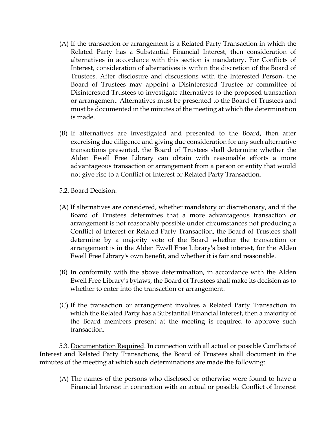- (A) If the transaction or arrangement is a Related Party Transaction in which the Related Party has a Substantial Financial Interest, then consideration of alternatives in accordance with this section is mandatory. For Conflicts of Interest, consideration of alternatives is within the discretion of the Board of Trustees. After disclosure and discussions with the Interested Person, the Board of Trustees may appoint a Disinterested Trustee or committee of Disinterested Trustees to investigate alternatives to the proposed transaction or arrangement. Alternatives must be presented to the Board of Trustees and must be documented in the minutes of the meeting at which the determination is made.
- (B) If alternatives are investigated and presented to the Board, then after exercising due diligence and giving due consideration for any such alternative transactions presented, the Board of Trustees shall determine whether the Alden Ewell Free Library can obtain with reasonable efforts a more advantageous transaction or arrangement from a person or entity that would not give rise to a Conflict of Interest or Related Party Transaction.

#### 5.2. Board Decision.

- (A) If alternatives are considered, whether mandatory or discretionary, and if the Board of Trustees determines that a more advantageous transaction or arrangement is not reasonably possible under circumstances not producing a Conflict of Interest or Related Party Transaction, the Board of Trustees shall determine by a majority vote of the Board whether the transaction or arrangement is in the Alden Ewell Free Library's best interest, for the Alden Ewell Free Library's own benefit, and whether it is fair and reasonable.
- (B) In conformity with the above determination, in accordance with the Alden Ewell Free Library's bylaws, the Board of Trustees shall make its decision as to whether to enter into the transaction or arrangement.
- (C) If the transaction or arrangement involves a Related Party Transaction in which the Related Party has a Substantial Financial Interest, then a majority of the Board members present at the meeting is required to approve such transaction.

5.3. Documentation Required. In connection with all actual or possible Conflicts of Interest and Related Party Transactions, the Board of Trustees shall document in the minutes of the meeting at which such determinations are made the following:

(A) The names of the persons who disclosed or otherwise were found to have a Financial Interest in connection with an actual or possible Conflict of Interest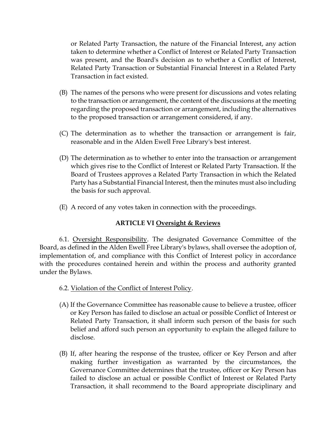or Related Party Transaction, the nature of the Financial Interest, any action taken to determine whether a Conflict of Interest or Related Party Transaction was present, and the Board's decision as to whether a Conflict of Interest, Related Party Transaction or Substantial Financial Interest in a Related Party Transaction in fact existed.

- (B) The names of the persons who were present for discussions and votes relating to the transaction or arrangement, the content of the discussions at the meeting regarding the proposed transaction or arrangement, including the alternatives to the proposed transaction or arrangement considered, if any.
- (C) The determination as to whether the transaction or arrangement is fair, reasonable and in the Alden Ewell Free Library's best interest.
- (D) The determination as to whether to enter into the transaction or arrangement which gives rise to the Conflict of Interest or Related Party Transaction. If the Board of Trustees approves a Related Party Transaction in which the Related Party has a Substantial Financial Interest, then the minutes must also including the basis for such approval.
- (E) A record of any votes taken in connection with the proceedings.

## **ARTICLE VI Oversight & Reviews**

6.1. Oversight Responsibility. The designated Governance Committee of the Board, as defined in the Alden Ewell Free Library's bylaws, shall oversee the adoption of, implementation of, and compliance with this Conflict of Interest policy in accordance with the procedures contained herein and within the process and authority granted under the Bylaws.

- 6.2. Violation of the Conflict of Interest Policy.
- (A) If the Governance Committee has reasonable cause to believe a trustee, officer or Key Person has failed to disclose an actual or possible Conflict of Interest or Related Party Transaction, it shall inform such person of the basis for such belief and afford such person an opportunity to explain the alleged failure to disclose.
- (B) If, after hearing the response of the trustee, officer or Key Person and after making further investigation as warranted by the circumstances, the Governance Committee determines that the trustee, officer or Key Person has failed to disclose an actual or possible Conflict of Interest or Related Party Transaction, it shall recommend to the Board appropriate disciplinary and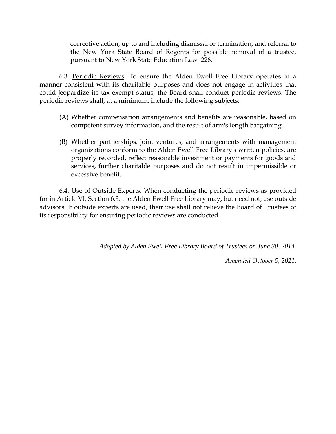corrective action, up to and including dismissal or termination, and referral to the New York State Board of Regents for possible removal of a trustee, pursuant to New York State Education Law 226.

6.3. Periodic Reviews. To ensure the Alden Ewell Free Library operates in a manner consistent with its charitable purposes and does not engage in activities that could jeopardize its tax-exempt status, the Board shall conduct periodic reviews. The periodic reviews shall, at a minimum, include the following subjects:

- (A) Whether compensation arrangements and benefits are reasonable, based on competent survey information, and the result of arm's length bargaining.
- (B) Whether partnerships, joint ventures, and arrangements with management organizations conform to the Alden Ewell Free Library's written policies, are properly recorded, reflect reasonable investment or payments for goods and services, further charitable purposes and do not result in impermissible or excessive benefit.

6.4. Use of Outside Experts. When conducting the periodic reviews as provided for in Article VI, Section 6.3, the Alden Ewell Free Library may, but need not, use outside advisors. If outside experts are used, their use shall not relieve the Board of Trustees of its responsibility for ensuring periodic reviews are conducted.

*Adopted by Alden Ewell Free Library Board of Trustees on June 30, 2014.*

*Amended October 5, 2021*.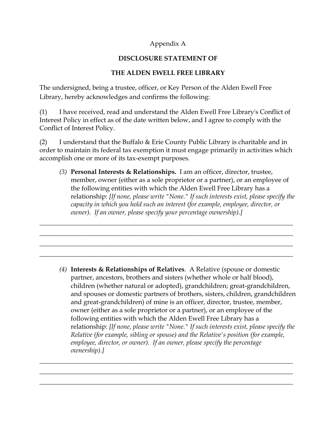## Appendix A

# **DISCLOSURE STATEMENT OF**

# **THE ALDEN EWELL FREE LIBRARY**

The undersigned, being a trustee, officer, or Key Person of the Alden Ewell Free Library, hereby acknowledges and confirms the following:

(1) I have received, read and understand the Alden Ewell Free Library's Conflict of Interest Policy in effect as of the date written below, and I agree to comply with the Conflict of Interest Policy.

(2) I understand that the Buffalo & Erie County Public Library is charitable and in order to maintain its federal tax exemption it must engage primarily in activities which accomplish one or more of its tax-exempt purposes.

\_\_\_\_\_\_\_\_\_\_\_\_\_\_\_\_\_\_\_\_\_\_\_\_\_\_\_\_\_\_\_\_\_\_\_\_\_\_\_\_\_\_\_\_\_\_\_\_\_\_\_\_\_\_\_\_\_\_\_\_\_\_\_\_\_\_\_\_\_\_\_\_\_\_\_\_\_ \_\_\_\_\_\_\_\_\_\_\_\_\_\_\_\_\_\_\_\_\_\_\_\_\_\_\_\_\_\_\_\_\_\_\_\_\_\_\_\_\_\_\_\_\_\_\_\_\_\_\_\_\_\_\_\_\_\_\_\_\_\_\_\_\_\_\_\_\_\_\_\_\_\_\_\_\_ \_\_\_\_\_\_\_\_\_\_\_\_\_\_\_\_\_\_\_\_\_\_\_\_\_\_\_\_\_\_\_\_\_\_\_\_\_\_\_\_\_\_\_\_\_\_\_\_\_\_\_\_\_\_\_\_\_\_\_\_\_\_\_\_\_\_\_\_\_\_\_\_\_\_\_\_\_ \_\_\_\_\_\_\_\_\_\_\_\_\_\_\_\_\_\_\_\_\_\_\_\_\_\_\_\_\_\_\_\_\_\_\_\_\_\_\_\_\_\_\_\_\_\_\_\_\_\_\_\_\_\_\_\_\_\_\_\_\_\_\_\_\_\_\_\_\_\_\_\_\_\_\_\_\_

*(3)* **Personal Interests & Relationships.** I am an officer, director, trustee, member, owner (either as a sole proprietor or a partner), or an employee of the following entities with which the Alden Ewell Free Library has a relationship: *[If none, please write "None." If such interests exist, please specify the capacity in which you hold such an interest (for example, employee, director, or owner). If an owner, please specify your percentage ownership).]*

*(4)* **Interests & Relationships of Relatives**. A Relative (spouse or domestic partner, ancestors, brothers and sisters (whether whole or half blood), children (whether natural or adopted), grandchildren; great-grandchildren, and spouses or domestic partners of brothers, sisters, children, grandchildren and great-grandchildren) of mine is an officer, director, trustee, member, owner (either as a sole proprietor or a partner), or an employee of the following entities with which the Alden Ewell Free Library has a relationship: *[If none, please write "None." If such interests exist, please specify the Relative (for example, sibling or spouse) and the Relative's position (for example, employee, director, or owner). If an owner, please specify the percentage ownership).]*

\_\_\_\_\_\_\_\_\_\_\_\_\_\_\_\_\_\_\_\_\_\_\_\_\_\_\_\_\_\_\_\_\_\_\_\_\_\_\_\_\_\_\_\_\_\_\_\_\_\_\_\_\_\_\_\_\_\_\_\_\_\_\_\_\_\_\_\_\_\_\_\_\_\_\_\_\_ \_\_\_\_\_\_\_\_\_\_\_\_\_\_\_\_\_\_\_\_\_\_\_\_\_\_\_\_\_\_\_\_\_\_\_\_\_\_\_\_\_\_\_\_\_\_\_\_\_\_\_\_\_\_\_\_\_\_\_\_\_\_\_\_\_\_\_\_\_\_\_\_\_\_\_\_\_ \_\_\_\_\_\_\_\_\_\_\_\_\_\_\_\_\_\_\_\_\_\_\_\_\_\_\_\_\_\_\_\_\_\_\_\_\_\_\_\_\_\_\_\_\_\_\_\_\_\_\_\_\_\_\_\_\_\_\_\_\_\_\_\_\_\_\_\_\_\_\_\_\_\_\_\_\_